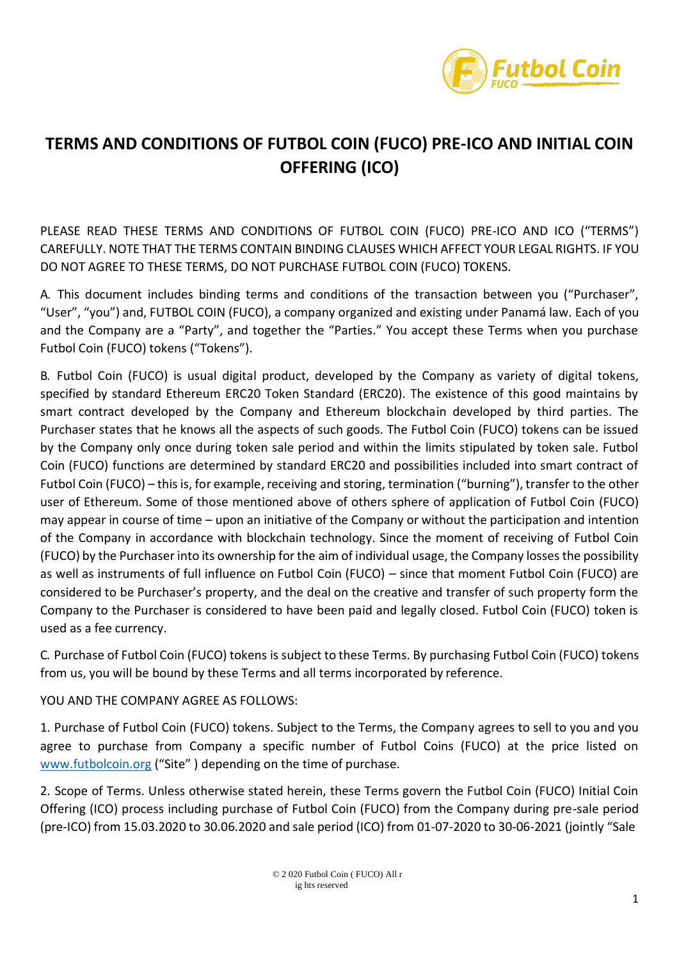

## **TERMS AND CONDITIONS OF FUTBOL COIN (FUCO) PRE-ICO AND INITIAL COIN OFFERING (ICO)**

PLEASE READ THESE TERMS AND CONDITIONS OF FUTBOL COIN (FUCO) PRE-ICO AND ICO ("TERMS") CAREFULLY. NOTE THAT THE TERMS CONTAIN BINDING CLAUSES WHICH AFFECT YOUR LEGAL RIGHTS. IF YOU DO NOT AGREE TO THESE TERMS, DO NOT PURCHASE FUTBOL COIN (FUCO) TOKENS.

A. This document includes binding terms and conditions of the transaction between you ("Purchaser", "User", "you") and, FUTBOL COIN (FUCO), a company organized and existing under Panamá law. Each of you and the Company are a "Party", and together the "Parties." You accept these Terms when you purchase Futbol Coin (FUCO) tokens ("Tokens").

B. Futbol Coin (FUCO) is usual digital product, developed by the Company as variety of digital tokens, specified by standard Ethereum ERC20 Token Standard (ERC20). The existence of this good maintains by smart contract developed by the Company and Ethereum blockchain developed by third parties. The Purchaser states that he knows all the aspects of such goods. The Futbol Coin (FUCO) tokens can be issued by the Company only once during token sale period and within the limits stipulated by token sale. Futbol Coin (FUCO) functions are determined by standard ERC20 and possibilities included into smart contract of Futbol Coin (FUCO) – this is, for example, receiving and storing, termination ("burning"), transfer to the other user of Ethereum. Some of those mentioned above of others sphere of application of Futbol Coin (FUCO) may appear in course of time – upon an initiative of the Company or without the participation and intention of the Company in accordance with blockchain technology. Since the moment of receiving of Futbol Coin (FUCO) by the Purchaser into its ownership forthe aim of individual usage, the Company lossesthe possibility as well as instruments of full influence on Futbol Coin (FUCO) – since that moment Futbol Coin (FUCO) are considered to be Purchaser's property, and the deal on the creative and transfer of such property form the Company to the Purchaser is considered to have been paid and legally closed. Futbol Coin (FUCO) token is used as a fee currency.

C. Purchase of Futbol Coin (FUCO) tokens is subject to these Terms. By purchasing Futbol Coin (FUCO) tokens from us, you will be bound by these Terms and all terms incorporated by reference.

YOU AND THE COMPANY AGREE AS FOLLOWS:

1. Purchase of Futbol Coin (FUCO) tokens. Subject to the Terms, the Company agrees to sell to you and you agree to purchase from Company a specific number of Futbol Coins (FUCO) at the price listed o[n](http://www.futbolcoin.org/) [www.futbolcoin.org](http://www.futbolcoin.org/) ("Site" ) depending on the time of purchase.

2. Scope of Terms. Unless otherwise stated herein, these Terms govern the Futbol Coin (FUCO) Initial Coin Offering (ICO) process including purchase of Futbol Coin (FUCO) from the Company during pre-sale period (pre-ICO) from 15.03.2020 to 30.06.2020 and sale period (ICO) from 01-07-2020 to 30-06-2021 (jointly "Sale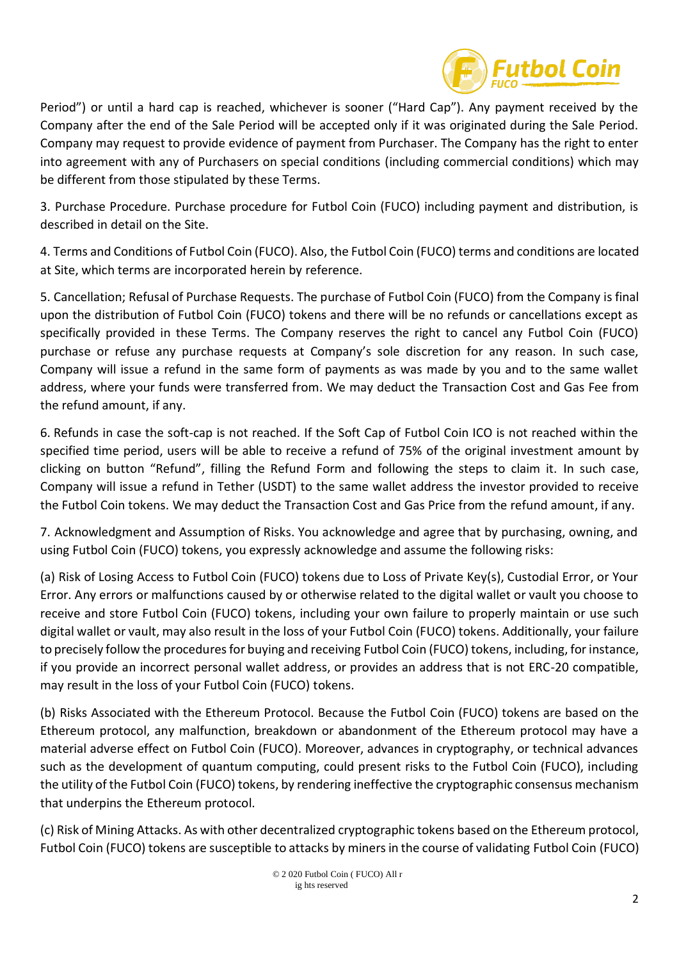

Period") or until a hard cap is reached, whichever is sooner ("Hard Cap"). Any payment received by the Company after the end of the Sale Period will be accepted only if it was originated during the Sale Period. Company may request to provide evidence of payment from Purchaser. The Company has the right to enter into agreement with any of Purchasers on special conditions (including commercial conditions) which may be different from those stipulated by these Terms.

3. Purchase Procedure. Purchase procedure for Futbol Coin (FUCO) including payment and distribution, is described in detail on the Site.

4. Terms and Conditions of Futbol Coin (FUCO). Also, the Futbol Coin (FUCO) terms and conditions are located at Site, which terms are incorporated herein by reference.

5. Cancellation; Refusal of Purchase Requests. The purchase of Futbol Coin (FUCO) from the Company is final upon the distribution of Futbol Coin (FUCO) tokens and there will be no refunds or cancellations except as specifically provided in these Terms. The Company reserves the right to cancel any Futbol Coin (FUCO) purchase or refuse any purchase requests at Company's sole discretion for any reason. In such case, Company will issue a refund in the same form of payments as was made by you and to the same wallet address, where your funds were transferred from. We may deduct the Transaction Cost and Gas Fee from the refund amount, if any.

6. Refunds in case the soft-cap is not reached. If the Soft Cap of Futbol Coin ICO is not reached within the specified time period, users will be able to receive a refund of 75% of the original investment amount by clicking on button "Refund", filling the Refund Form and following the steps to claim it. In such case, Company will issue a refund in Tether (USDT) to the same wallet address the investor provided to receive the Futbol Coin tokens. We may deduct the Transaction Cost and Gas Price from the refund amount, if any.

7. Acknowledgment and Assumption of Risks. You acknowledge and agree that by purchasing, owning, and using Futbol Coin (FUCO) tokens, you expressly acknowledge and assume the following risks:

(a) Risk of Losing Access to Futbol Coin (FUCO) tokens due to Loss of Private Key(s), Custodial Error, or Your Error. Any errors or malfunctions caused by or otherwise related to the digital wallet or vault you choose to receive and store Futbol Coin (FUCO) tokens, including your own failure to properly maintain or use such digital wallet or vault, may also result in the loss of your Futbol Coin (FUCO) tokens. Additionally, your failure to precisely follow the proceduresfor buying and receiving Futbol Coin (FUCO) tokens, including, forinstance, if you provide an incorrect personal wallet address, or provides an address that is not ERC-20 compatible, may result in the loss of your Futbol Coin (FUCO) tokens.

(b) Risks Associated with the Ethereum Protocol. Because the Futbol Coin (FUCO) tokens are based on the Ethereum protocol, any malfunction, breakdown or abandonment of the Ethereum protocol may have a material adverse effect on Futbol Coin (FUCO). Moreover, advances in cryptography, or technical advances such as the development of quantum computing, could present risks to the Futbol Coin (FUCO), including the utility of the Futbol Coin (FUCO) tokens, by rendering ineffective the cryptographic consensus mechanism that underpins the Ethereum protocol.

(c) Risk of Mining Attacks. As with other decentralized cryptographic tokens based on the Ethereum protocol, Futbol Coin (FUCO) tokens are susceptible to attacks by minersin the course of validating Futbol Coin (FUCO)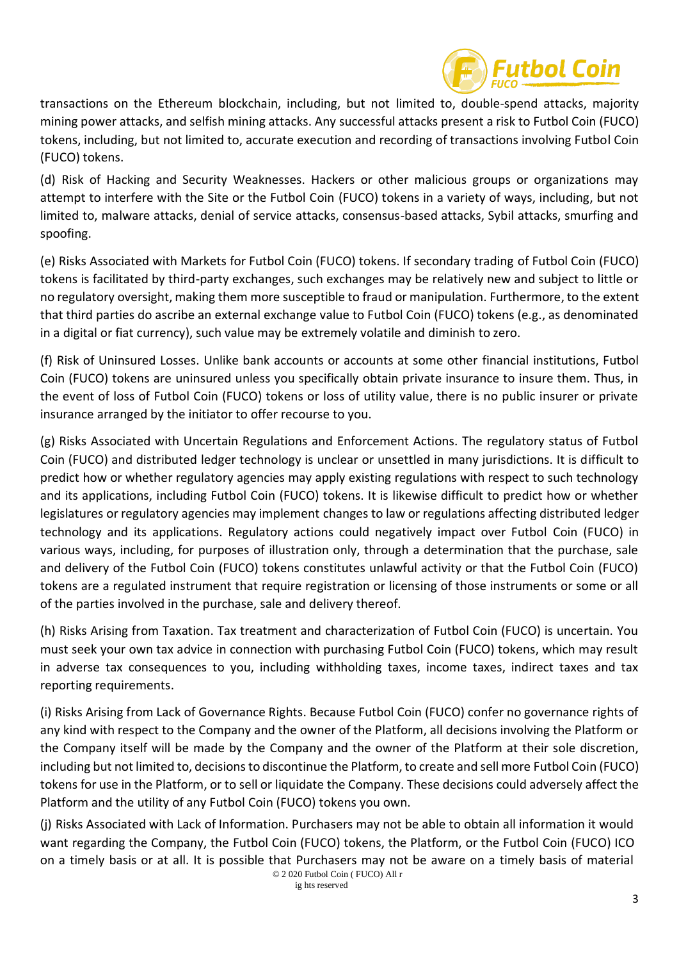

transactions on the Ethereum blockchain, including, but not limited to, double-spend attacks, majority mining power attacks, and selfish mining attacks. Any successful attacks present a risk to Futbol Coin (FUCO) tokens, including, but not limited to, accurate execution and recording of transactions involving Futbol Coin (FUCO) tokens.

(d) Risk of Hacking and Security Weaknesses. Hackers or other malicious groups or organizations may attempt to interfere with the Site or the Futbol Coin (FUCO) tokens in a variety of ways, including, but not limited to, malware attacks, denial of service attacks, consensus-based attacks, Sybil attacks, smurfing and spoofing.

(e) Risks Associated with Markets for Futbol Coin (FUCO) tokens. If secondary trading of Futbol Coin (FUCO) tokens is facilitated by third-party exchanges, such exchanges may be relatively new and subject to little or no regulatory oversight, making them more susceptible to fraud or manipulation. Furthermore, to the extent that third parties do ascribe an external exchange value to Futbol Coin (FUCO) tokens (e.g., as denominated in a digital or fiat currency), such value may be extremely volatile and diminish to zero.

(f) Risk of Uninsured Losses. Unlike bank accounts or accounts at some other financial institutions, Futbol Coin (FUCO) tokens are uninsured unless you specifically obtain private insurance to insure them. Thus, in the event of loss of Futbol Coin (FUCO) tokens or loss of utility value, there is no public insurer or private insurance arranged by the initiator to offer recourse to you.

(g) Risks Associated with Uncertain Regulations and Enforcement Actions. The regulatory status of Futbol Coin (FUCO) and distributed ledger technology is unclear or unsettled in many jurisdictions. It is difficult to predict how or whether regulatory agencies may apply existing regulations with respect to such technology and its applications, including Futbol Coin (FUCO) tokens. It is likewise difficult to predict how or whether legislatures or regulatory agencies may implement changes to law or regulations affecting distributed ledger technology and its applications. Regulatory actions could negatively impact over Futbol Coin (FUCO) in various ways, including, for purposes of illustration only, through a determination that the purchase, sale and delivery of the Futbol Coin (FUCO) tokens constitutes unlawful activity or that the Futbol Coin (FUCO) tokens are a regulated instrument that require registration or licensing of those instruments or some or all of the parties involved in the purchase, sale and delivery thereof.

(h) Risks Arising from Taxation. Tax treatment and characterization of Futbol Coin (FUCO) is uncertain. You must seek your own tax advice in connection with purchasing Futbol Coin (FUCO) tokens, which may result in adverse tax consequences to you, including withholding taxes, income taxes, indirect taxes and tax reporting requirements.

(i) Risks Arising from Lack of Governance Rights. Because Futbol Coin (FUCO) confer no governance rights of any kind with respect to the Company and the owner of the Platform, all decisions involving the Platform or the Company itself will be made by the Company and the owner of the Platform at their sole discretion, including but not limited to, decisions to discontinue the Platform, to create and sell more Futbol Coin (FUCO) tokens for use in the Platform, or to sell or liquidate the Company. These decisions could adversely affect the Platform and the utility of any Futbol Coin (FUCO) tokens you own.

© 2 020 Futbol Coin ( FUCO) All r (j) Risks Associated with Lack of Information. Purchasers may not be able to obtain all information it would want regarding the Company, the Futbol Coin (FUCO) tokens, the Platform, or the Futbol Coin (FUCO) ICO on a timely basis or at all. It is possible that Purchasers may not be aware on a timely basis of material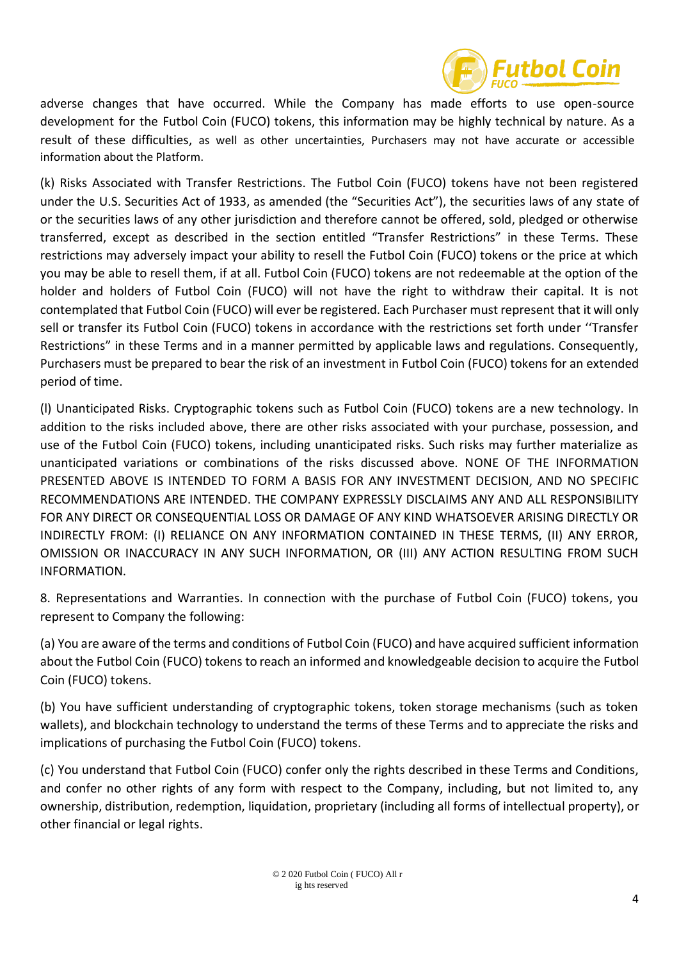

adverse changes that have occurred. While the Company has made efforts to use open-source development for the Futbol Coin (FUCO) tokens, this information may be highly technical by nature. As a result of these difficulties, as well as other uncertainties, Purchasers may not have accurate or accessible information about the Platform.

(k) Risks Associated with Transfer Restrictions. The Futbol Coin (FUCO) tokens have not been registered under the U.S. Securities Act of 1933, as amended (the "Securities Act"), the securities laws of any state of or the securities laws of any other jurisdiction and therefore cannot be offered, sold, pledged or otherwise transferred, except as described in the section entitled "Transfer Restrictions" in these Terms. These restrictions may adversely impact your ability to resell the Futbol Coin (FUCO) tokens or the price at which you may be able to resell them, if at all. Futbol Coin (FUCO) tokens are not redeemable at the option of the holder and holders of Futbol Coin (FUCO) will not have the right to withdraw their capital. It is not contemplated that Futbol Coin (FUCO) will ever be registered. Each Purchaser must represent that it will only sell or transfer its Futbol Coin (FUCO) tokens in accordance with the restrictions set forth under ''Transfer Restrictions" in these Terms and in a manner permitted by applicable laws and regulations. Consequently, Purchasers must be prepared to bear the risk of an investment in Futbol Coin (FUCO) tokens for an extended period of time.

(l) Unanticipated Risks. Cryptographic tokens such as Futbol Coin (FUCO) tokens are a new technology. In addition to the risks included above, there are other risks associated with your purchase, possession, and use of the Futbol Coin (FUCO) tokens, including unanticipated risks. Such risks may further materialize as unanticipated variations or combinations of the risks discussed above. NONE OF THE INFORMATION PRESENTED ABOVE IS INTENDED TO FORM A BASIS FOR ANY INVESTMENT DECISION, AND NO SPECIFIC RECOMMENDATIONS ARE INTENDED. THE COMPANY EXPRESSLY DISCLAIMS ANY AND ALL RESPONSIBILITY FOR ANY DIRECT OR CONSEQUENTIAL LOSS OR DAMAGE OF ANY KIND WHATSOEVER ARISING DIRECTLY OR INDIRECTLY FROM: (I) RELIANCE ON ANY INFORMATION CONTAINED IN THESE TERMS, (II) ANY ERROR, OMISSION OR INACCURACY IN ANY SUCH INFORMATION, OR (III) ANY ACTION RESULTING FROM SUCH INFORMATION.

8. Representations and Warranties. In connection with the purchase of Futbol Coin (FUCO) tokens, you represent to Company the following:

(a) You are aware of the terms and conditions of Futbol Coin (FUCO) and have acquired sufficient information about the Futbol Coin (FUCO) tokens to reach an informed and knowledgeable decision to acquire the Futbol Coin (FUCO) tokens.

(b) You have sufficient understanding of cryptographic tokens, token storage mechanisms (such as token wallets), and blockchain technology to understand the terms of these Terms and to appreciate the risks and implications of purchasing the Futbol Coin (FUCO) tokens.

(c) You understand that Futbol Coin (FUCO) confer only the rights described in these Terms and Conditions, and confer no other rights of any form with respect to the Company, including, but not limited to, any ownership, distribution, redemption, liquidation, proprietary (including all forms of intellectual property), or other financial or legal rights.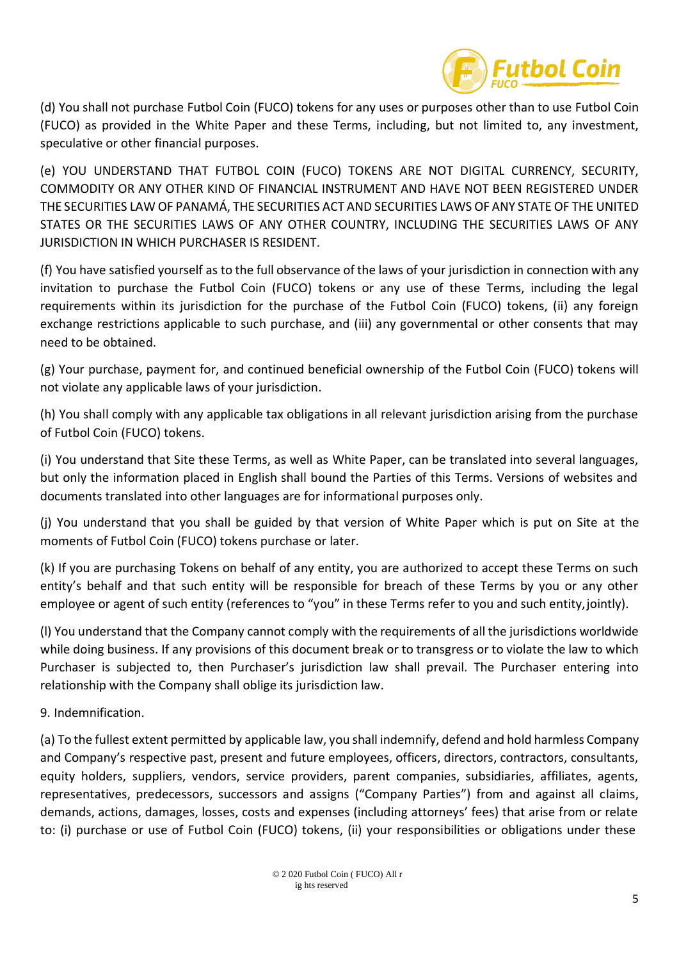

(d) You shall not purchase Futbol Coin (FUCO) tokens for any uses or purposes other than to use Futbol Coin (FUCO) as provided in the White Paper and these Terms, including, but not limited to, any investment, speculative or other financial purposes.

(e) YOU UNDERSTAND THAT FUTBOL COIN (FUCO) TOKENS ARE NOT DIGITAL CURRENCY, SECURITY, COMMODITY OR ANY OTHER KIND OF FINANCIAL INSTRUMENT AND HAVE NOT BEEN REGISTERED UNDER THE SECURITIES LAW OF PANAMÁ, THE SECURITIES ACT AND SECURITIES LAWS OF ANY STATE OF THE UNITED STATES OR THE SECURITIES LAWS OF ANY OTHER COUNTRY, INCLUDING THE SECURITIES LAWS OF ANY JURISDICTION IN WHICH PURCHASER IS RESIDENT.

(f) You have satisfied yourself as to the full observance of the laws of your jurisdiction in connection with any invitation to purchase the Futbol Coin (FUCO) tokens or any use of these Terms, including the legal requirements within its jurisdiction for the purchase of the Futbol Coin (FUCO) tokens, (ii) any foreign exchange restrictions applicable to such purchase, and (iii) any governmental or other consents that may need to be obtained.

(g) Your purchase, payment for, and continued beneficial ownership of the Futbol Coin (FUCO) tokens will not violate any applicable laws of your jurisdiction.

(h) You shall comply with any applicable tax obligations in all relevant jurisdiction arising from the purchase of Futbol Coin (FUCO) tokens.

(i) You understand that Site these Terms, as well as White Paper, can be translated into several languages, but only the information placed in English shall bound the Parties of this Terms. Versions of websites and documents translated into other languages are for informational purposes only.

(j) You understand that you shall be guided by that version of White Paper which is put on Site at the moments of Futbol Coin (FUCO) tokens purchase or later.

(k) If you are purchasing Tokens on behalf of any entity, you are authorized to accept these Terms on such entity's behalf and that such entity will be responsible for breach of these Terms by you or any other employee or agent of such entity (references to "you" in these Terms refer to you and such entity,jointly).

(l) You understand that the Company cannot comply with the requirements of all the jurisdictions worldwide while doing business. If any provisions of this document break or to transgress or to violate the law to which Purchaser is subjected to, then Purchaser's jurisdiction law shall prevail. The Purchaser entering into relationship with the Company shall oblige its jurisdiction law.

9. Indemnification.

(a) To the fullest extent permitted by applicable law, you shall indemnify, defend and hold harmless Company and Company's respective past, present and future employees, officers, directors, contractors, consultants, equity holders, suppliers, vendors, service providers, parent companies, subsidiaries, affiliates, agents, representatives, predecessors, successors and assigns ("Company Parties") from and against all claims, demands, actions, damages, losses, costs and expenses (including attorneys' fees) that arise from or relate to: (i) purchase or use of Futbol Coin (FUCO) tokens, (ii) your responsibilities or obligations under these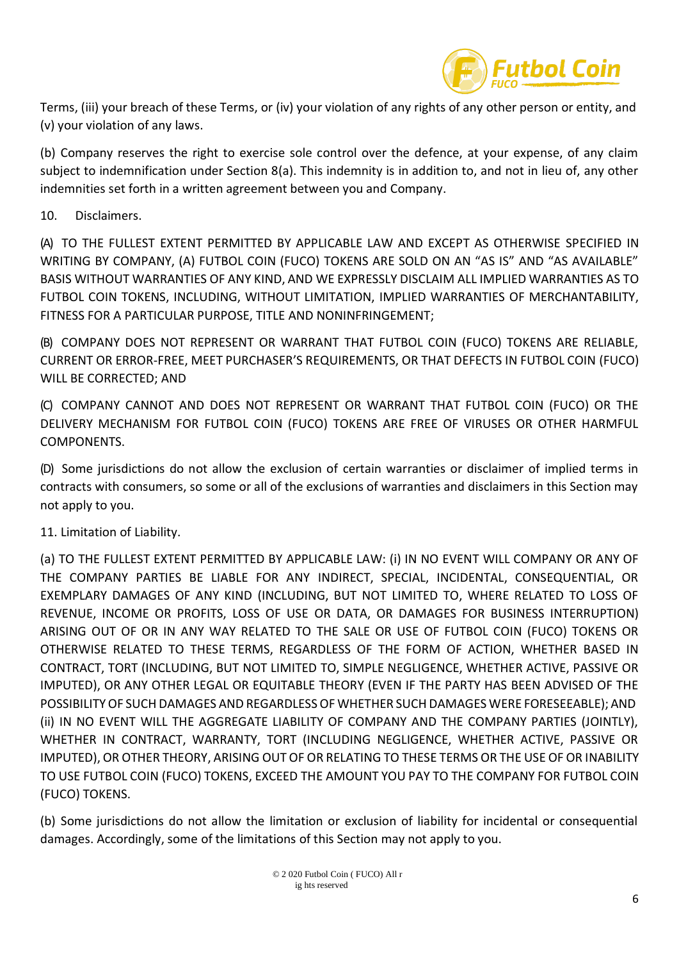

Terms, (iii) your breach of these Terms, or (iv) your violation of any rights of any other person or entity, and (v) your violation of any laws.

(b) Company reserves the right to exercise sole control over the defence, at your expense, of any claim subject to indemnification under Section 8(a). This indemnity is in addition to, and not in lieu of, any other indemnities set forth in a written agreement between you and Company.

## 10. Disclaimers.

(A) TO THE FULLEST EXTENT PERMITTED BY APPLICABLE LAW AND EXCEPT AS OTHERWISE SPECIFIED IN WRITING BY COMPANY, (A) FUTBOL COIN (FUCO) TOKENS ARE SOLD ON AN "AS IS" AND "AS AVAILABLE" BASIS WITHOUT WARRANTIES OF ANY KIND, AND WE EXPRESSLY DISCLAIM ALL IMPLIED WARRANTIES AS TO FUTBOL COIN TOKENS, INCLUDING, WITHOUT LIMITATION, IMPLIED WARRANTIES OF MERCHANTABILITY, FITNESS FOR A PARTICULAR PURPOSE, TITLE AND NONINFRINGEMENT;

(B) COMPANY DOES NOT REPRESENT OR WARRANT THAT FUTBOL COIN (FUCO) TOKENS ARE RELIABLE, CURRENT OR ERROR-FREE, MEET PURCHASER'S REQUIREMENTS, OR THAT DEFECTS IN FUTBOL COIN (FUCO) WILL BE CORRECTED; AND

(C) COMPANY CANNOT AND DOES NOT REPRESENT OR WARRANT THAT FUTBOL COIN (FUCO) OR THE DELIVERY MECHANISM FOR FUTBOL COIN (FUCO) TOKENS ARE FREE OF VIRUSES OR OTHER HARMFUL COMPONENTS.

(D) Some jurisdictions do not allow the exclusion of certain warranties or disclaimer of implied terms in contracts with consumers, so some or all of the exclusions of warranties and disclaimers in this Section may not apply to you.

11. Limitation of Liability.

(a) TO THE FULLEST EXTENT PERMITTED BY APPLICABLE LAW: (i) IN NO EVENT WILL COMPANY OR ANY OF THE COMPANY PARTIES BE LIABLE FOR ANY INDIRECT, SPECIAL, INCIDENTAL, CONSEQUENTIAL, OR EXEMPLARY DAMAGES OF ANY KIND (INCLUDING, BUT NOT LIMITED TO, WHERE RELATED TO LOSS OF REVENUE, INCOME OR PROFITS, LOSS OF USE OR DATA, OR DAMAGES FOR BUSINESS INTERRUPTION) ARISING OUT OF OR IN ANY WAY RELATED TO THE SALE OR USE OF FUTBOL COIN (FUCO) TOKENS OR OTHERWISE RELATED TO THESE TERMS, REGARDLESS OF THE FORM OF ACTION, WHETHER BASED IN CONTRACT, TORT (INCLUDING, BUT NOT LIMITED TO, SIMPLE NEGLIGENCE, WHETHER ACTIVE, PASSIVE OR IMPUTED), OR ANY OTHER LEGAL OR EQUITABLE THEORY (EVEN IF THE PARTY HAS BEEN ADVISED OF THE POSSIBILITYOF SUCH DAMAGES AND REGARDLESS OF WHETHER SUCH DAMAGES WERE FORESEEABLE); AND (ii) IN NO EVENT WILL THE AGGREGATE LIABILITY OF COMPANY AND THE COMPANY PARTIES (JOINTLY), WHETHER IN CONTRACT, WARRANTY, TORT (INCLUDING NEGLIGENCE, WHETHER ACTIVE, PASSIVE OR IMPUTED), OR OTHER THEORY, ARISING OUT OF OR RELATING TO THESE TERMS OR THE USE OF OR INABILITY TO USE FUTBOL COIN (FUCO) TOKENS, EXCEED THE AMOUNT YOU PAY TO THE COMPANY FOR FUTBOL COIN (FUCO) TOKENS.

(b) Some jurisdictions do not allow the limitation or exclusion of liability for incidental or consequential damages. Accordingly, some of the limitations of this Section may not apply to you.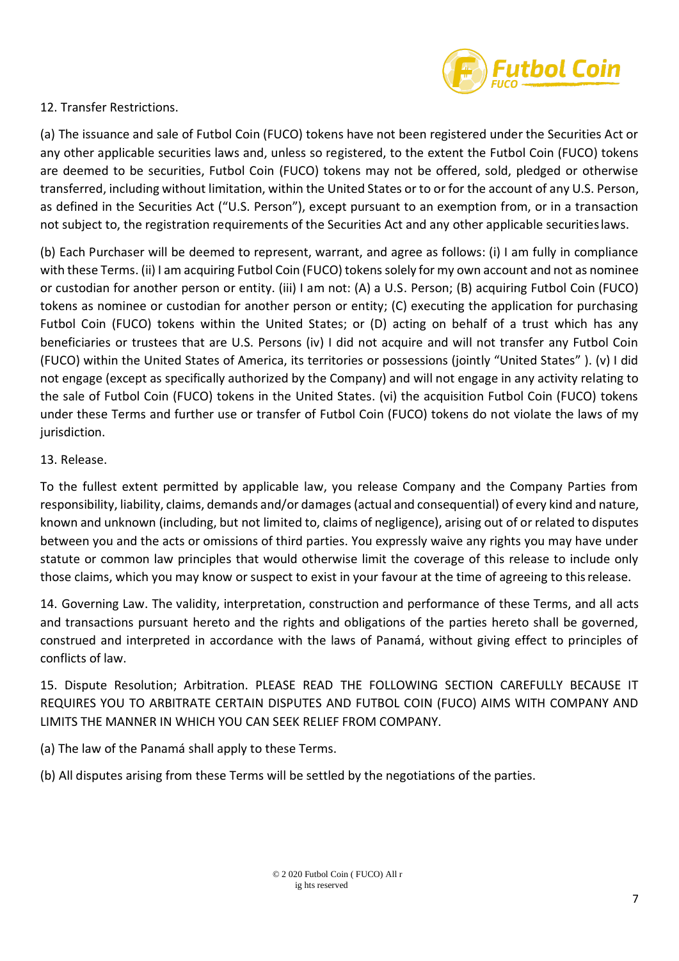

12. Transfer Restrictions.

(a) The issuance and sale of Futbol Coin (FUCO) tokens have not been registered under the Securities Act or any other applicable securities laws and, unless so registered, to the extent the Futbol Coin (FUCO) tokens are deemed to be securities, Futbol Coin (FUCO) tokens may not be offered, sold, pledged or otherwise transferred, including without limitation, within the United States or to or for the account of any U.S. Person, as defined in the Securities Act ("U.S. Person"), except pursuant to an exemption from, or in a transaction not subject to, the registration requirements of the Securities Act and any other applicable securitieslaws.

(b) Each Purchaser will be deemed to represent, warrant, and agree as follows: (i) I am fully in compliance with these Terms. (ii) I am acquiring Futbol Coin (FUCO) tokens solely for my own account and not as nominee or custodian for another person or entity. (iii) I am not: (A) a U.S. Person; (B) acquiring Futbol Coin (FUCO) tokens as nominee or custodian for another person or entity; (C) executing the application for purchasing Futbol Coin (FUCO) tokens within the United States; or (D) acting on behalf of a trust which has any beneficiaries or trustees that are U.S. Persons (iv) I did not acquire and will not transfer any Futbol Coin (FUCO) within the United States of America, its territories or possessions (jointly "United States" ). (v) I did not engage (except as specifically authorized by the Company) and will not engage in any activity relating to the sale of Futbol Coin (FUCO) tokens in the United States. (vi) the acquisition Futbol Coin (FUCO) tokens under these Terms and further use or transfer of Futbol Coin (FUCO) tokens do not violate the laws of my jurisdiction.

## 13. Release.

To the fullest extent permitted by applicable law, you release Company and the Company Parties from responsibility, liability, claims, demands and/or damages(actual and consequential) of every kind and nature, known and unknown (including, but not limited to, claims of negligence), arising out of or related to disputes between you and the acts or omissions of third parties. You expressly waive any rights you may have under statute or common law principles that would otherwise limit the coverage of this release to include only those claims, which you may know or suspect to exist in your favour at the time of agreeing to thisrelease.

14. Governing Law. The validity, interpretation, construction and performance of these Terms, and all acts and transactions pursuant hereto and the rights and obligations of the parties hereto shall be governed, construed and interpreted in accordance with the laws of Panamá, without giving effect to principles of conflicts of law.

15. Dispute Resolution; Arbitration. PLEASE READ THE FOLLOWING SECTION CAREFULLY BECAUSE IT REQUIRES YOU TO ARBITRATE CERTAIN DISPUTES AND FUTBOL COIN (FUCO) AIMS WITH COMPANY AND LIMITS THE MANNER IN WHICH YOU CAN SEEK RELIEF FROM COMPANY.

(a) The law of the Panamá shall apply to these Terms.

(b) All disputes arising from these Terms will be settled by the negotiations of the parties.